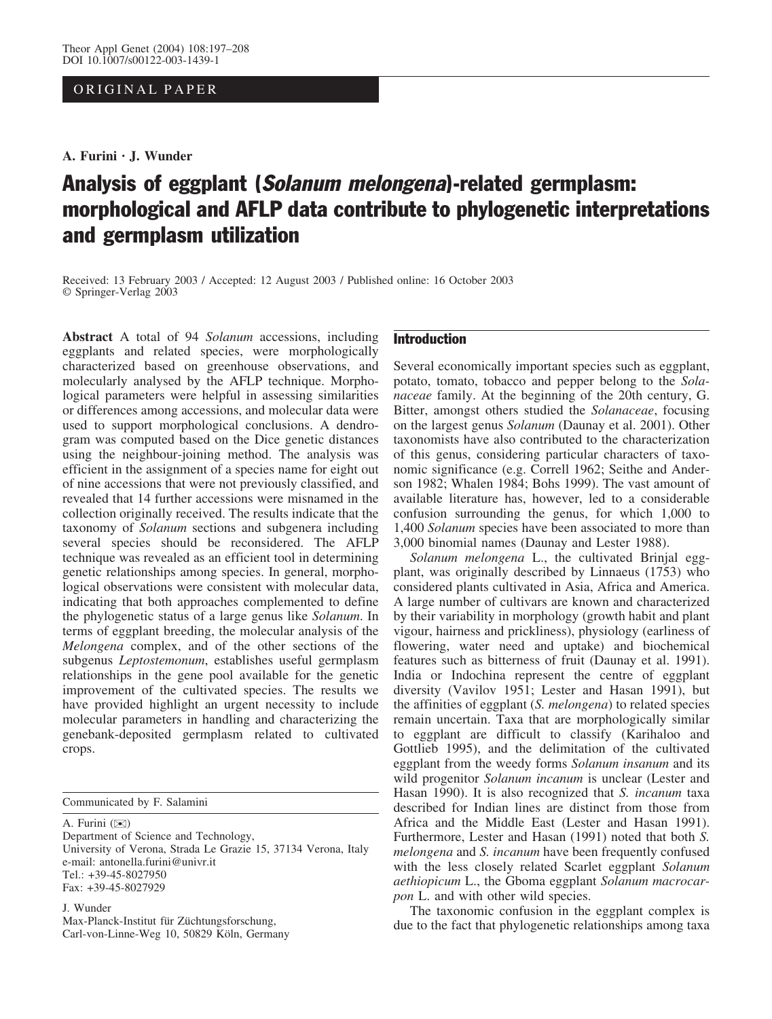# ORIGINAL PAPER

A. Furini · J. Wunder

# Analysis of eggplant (Solanum melongena)-related germplasm: morphological and AFLP data contribute to phylogenetic interpretations and germplasm utilization

Received: 13 February 2003 / Accepted: 12 August 2003 / Published online: 16 October 2003 Springer-Verlag 2003

Abstract A total of 94 Solanum accessions, including eggplants and related species, were morphologically characterized based on greenhouse observations, and molecularly analysed by the AFLP technique. Morphological parameters were helpful in assessing similarities or differences among accessions, and molecular data were used to support morphological conclusions. A dendrogram was computed based on the Dice genetic distances using the neighbour-joining method. The analysis was efficient in the assignment of a species name for eight out of nine accessions that were not previously classified, and revealed that 14 further accessions were misnamed in the collection originally received. The results indicate that the taxonomy of Solanum sections and subgenera including several species should be reconsidered. The AFLP technique was revealed as an efficient tool in determining genetic relationships among species. In general, morphological observations were consistent with molecular data, indicating that both approaches complemented to define the phylogenetic status of a large genus like Solanum. In terms of eggplant breeding, the molecular analysis of the Melongena complex, and of the other sections of the subgenus Leptostemonum, establishes useful germplasm relationships in the gene pool available for the genetic improvement of the cultivated species. The results we have provided highlight an urgent necessity to include molecular parameters in handling and characterizing the genebank-deposited germplasm related to cultivated crops.

Communicated by F. Salamini

A. Furini (*)*)

Department of Science and Technology, University of Verona, Strada Le Grazie 15, 37134 Verona, Italy e-mail: antonella.furini@univr.it Tel.: +39-45-8027950 Fax: +39-45-8027929

#### J. Wunder

Max-Planck-Institut für Züchtungsforschung, Carl-von-Linne-Weg 10, 50829 Köln, Germany

# Introduction

Several economically important species such as eggplant, potato, tomato, tobacco and pepper belong to the Solanaceae family. At the beginning of the 20th century, G. Bitter, amongst others studied the Solanaceae, focusing on the largest genus Solanum (Daunay et al. 2001). Other taxonomists have also contributed to the characterization of this genus, considering particular characters of taxonomic significance (e.g. Correll 1962; Seithe and Anderson 1982; Whalen 1984; Bohs 1999). The vast amount of available literature has, however, led to a considerable confusion surrounding the genus, for which 1,000 to 1,400 Solanum species have been associated to more than 3,000 binomial names (Daunay and Lester 1988).

Solanum melongena L., the cultivated Brinjal eggplant, was originally described by Linnaeus (1753) who considered plants cultivated in Asia, Africa and America. A large number of cultivars are known and characterized by their variability in morphology (growth habit and plant vigour, hairness and prickliness), physiology (earliness of flowering, water need and uptake) and biochemical features such as bitterness of fruit (Daunay et al. 1991). India or Indochina represent the centre of eggplant diversity (Vavilov 1951; Lester and Hasan 1991), but the affinities of eggplant (S. melongena) to related species remain uncertain. Taxa that are morphologically similar to eggplant are difficult to classify (Karihaloo and Gottlieb 1995), and the delimitation of the cultivated eggplant from the weedy forms Solanum insanum and its wild progenitor Solanum incanum is unclear (Lester and Hasan 1990). It is also recognized that S. incanum taxa described for Indian lines are distinct from those from Africa and the Middle East (Lester and Hasan 1991). Furthermore, Lester and Hasan (1991) noted that both S. melongena and S. incanum have been frequently confused with the less closely related Scarlet eggplant Solanum aethiopicum L., the Gboma eggplant Solanum macrocarpon L. and with other wild species.

The taxonomic confusion in the eggplant complex is due to the fact that phylogenetic relationships among taxa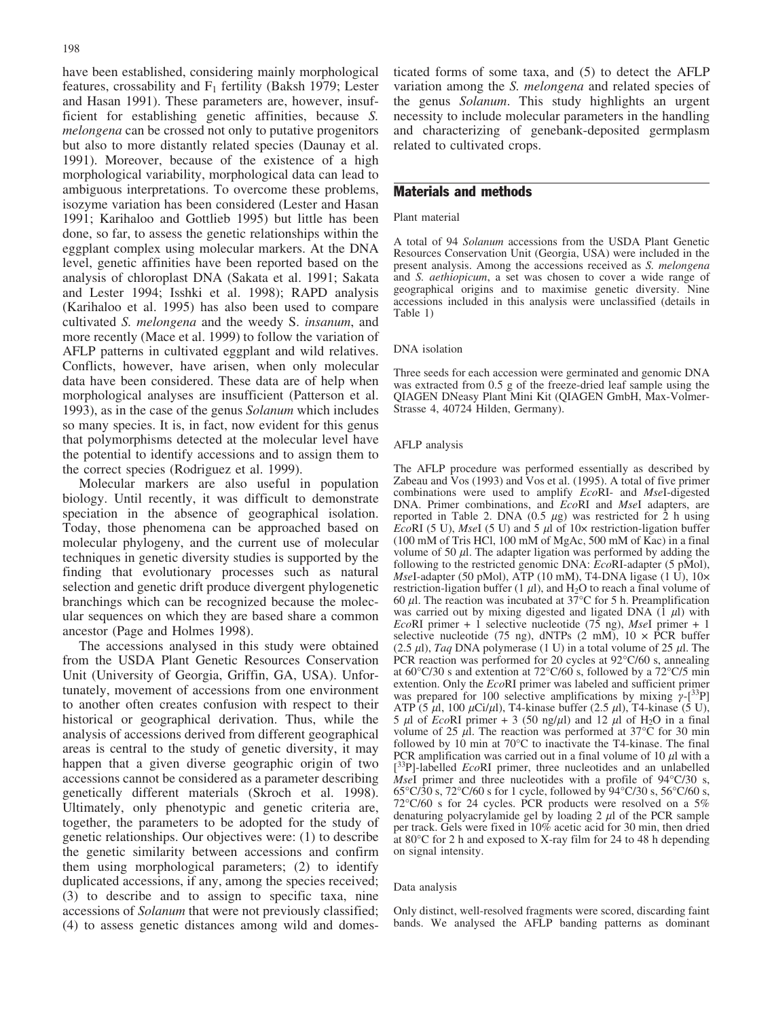have been established, considering mainly morphological features, crossability and  $F_1$  fertility (Baksh 1979; Lester and Hasan 1991). These parameters are, however, insufficient for establishing genetic affinities, because S. melongena can be crossed not only to putative progenitors but also to more distantly related species (Daunay et al. 1991). Moreover, because of the existence of a high morphological variability, morphological data can lead to ambiguous interpretations. To overcome these problems, isozyme variation has been considered (Lester and Hasan 1991; Karihaloo and Gottlieb 1995) but little has been done, so far, to assess the genetic relationships within the eggplant complex using molecular markers. At the DNA level, genetic affinities have been reported based on the analysis of chloroplast DNA (Sakata et al. 1991; Sakata and Lester 1994; Isshki et al. 1998); RAPD analysis (Karihaloo et al. 1995) has also been used to compare cultivated S. melongena and the weedy S. insanum, and more recently (Mace et al. 1999) to follow the variation of AFLP patterns in cultivated eggplant and wild relatives. Conflicts, however, have arisen, when only molecular data have been considered. These data are of help when morphological analyses are insufficient (Patterson et al. 1993), as in the case of the genus Solanum which includes so many species. It is, in fact, now evident for this genus that polymorphisms detected at the molecular level have the potential to identify accessions and to assign them to the correct species (Rodriguez et al. 1999).

Molecular markers are also useful in population biology. Until recently, it was difficult to demonstrate speciation in the absence of geographical isolation. Today, those phenomena can be approached based on molecular phylogeny, and the current use of molecular techniques in genetic diversity studies is supported by the finding that evolutionary processes such as natural selection and genetic drift produce divergent phylogenetic branchings which can be recognized because the molecular sequences on which they are based share a common ancestor (Page and Holmes 1998).

The accessions analysed in this study were obtained from the USDA Plant Genetic Resources Conservation Unit (University of Georgia, Griffin, GA, USA). Unfortunately, movement of accessions from one environment to another often creates confusion with respect to their historical or geographical derivation. Thus, while the analysis of accessions derived from different geographical areas is central to the study of genetic diversity, it may happen that a given diverse geographic origin of two accessions cannot be considered as a parameter describing genetically different materials (Skroch et al. 1998). Ultimately, only phenotypic and genetic criteria are, together, the parameters to be adopted for the study of genetic relationships. Our objectives were: (1) to describe the genetic similarity between accessions and confirm them using morphological parameters; (2) to identify duplicated accessions, if any, among the species received; (3) to describe and to assign to specific taxa, nine accessions of Solanum that were not previously classified; (4) to assess genetic distances among wild and domesticated forms of some taxa, and (5) to detect the AFLP variation among the *S. melongena* and related species of the genus Solanum. This study highlights an urgent necessity to include molecular parameters in the handling and characterizing of genebank-deposited germplasm related to cultivated crops.

# Materials and methods

#### Plant material

A total of 94 Solanum accessions from the USDA Plant Genetic Resources Conservation Unit (Georgia, USA) were included in the present analysis. Among the accessions received as S. melongena and S. aethiopicum, a set was chosen to cover a wide range of geographical origins and to maximise genetic diversity. Nine accessions included in this analysis were unclassified (details in Table 1)

#### DNA isolation

Three seeds for each accession were germinated and genomic DNA was extracted from 0.5 g of the freeze-dried leaf sample using the QIAGEN DNeasy Plant Mini Kit (QIAGEN GmbH, Max-Volmer-Strasse 4, 40724 Hilden, Germany).

#### AFLP analysis

The AFLP procedure was performed essentially as described by Zabeau and Vos (1993) and Vos et al. (1995). A total of five primer combinations were used to amplify EcoRI- and MseI-digested DNA. Primer combinations, and EcoRI and MseI adapters, are reported in Table 2. DNA  $(0.5 \ \mu g)$  was restricted for 2 h using EcoRI (5 U), MseI (5 U) and 5  $\mu$ l of 10x restriction-ligation buffer (100 mM of Tris HCl, 100 mM of MgAc, 500 mM of Kac) in a final volume of 50  $\mu$ . The adapter ligation was performed by adding the following to the restricted genomic DNA:  $\vec{E}$ coRI-adapter (5 pMol),  $MseI$ -adapter (50 pMol), ATP (10 mM), T4-DNA ligase (1 U),  $10 \times$ restriction-ligation buffer (1  $\mu$ l), and H<sub>2</sub>O to reach a final volume of 60  $\mu$ l. The reaction was incubated at 37°C for 5 h. Preamplification was carried out by mixing digested and ligated DNA  $(1 \mu l)$  with EcoRI primer + 1 selective nucleotide (75 ng), MseI primer + 1 selective nucleotide (75 ng), dNTPs (2 mM),  $10 \times PCR$  buffer  $(2.5 \mu l)$ , Taq DNA polymerase (1 U) in a total volume of 25  $\mu l$ . The PCR reaction was performed for 20 cycles at  $92^{\circ}C/60$  s, annealing at  $60^{\circ}$ C/30 s and extention at  $72^{\circ}$ C/60 s, followed by a  $72^{\circ}$ C/5 min extention. Only the EcoRI primer was labeled and sufficient primer was prepared for 100 selective amplifications by mixing  $\gamma$ -[<sup>33</sup>P] ATP (5  $\mu$ l, 100  $\mu$ Ci/ $\mu$ l), T4-kinase buffer (2.5  $\mu$ l), T4-kinase (5 U), 5  $\mu$ l of EcoRI primer + 3 (50 ng/ $\mu$ l) and 12  $\mu$ l of H<sub>2</sub>O in a final volume of 25  $\mu$ l. The reaction was performed at 37°C for 30 min followed by 10 min at  $70^{\circ}$ C to inactivate the T4-kinase. The final PCR amplification was carried out in a final volume of 10  $\mu$ l with a [<sup>33</sup>P]-labelled *Eco*RI primer, three nucleotides and an unlabelled *MseI* primer and three nucleotides with a profile of  $94^{\circ}C/30$  s,  $65^{\circ}$ C/30 s,  $72^{\circ}$ C/60 s for 1 cycle, followed by  $94^{\circ}$ C/30 s,  $56^{\circ}$ C/60 s, 72°C/60 s for 24 cycles. PCR products were resolved on a  $5\%$ denaturing polyacrylamide gel by loading  $2 \mu l$  of the PCR sample per track. Gels were fixed in 10% acetic acid for 30 min, then dried at 80 $^{\circ}$ C for 2 h and exposed to X-ray film for 24 to 48 h depending on signal intensity.

#### Data analysis

Only distinct, well-resolved fragments were scored, discarding faint bands. We analysed the AFLP banding patterns as dominant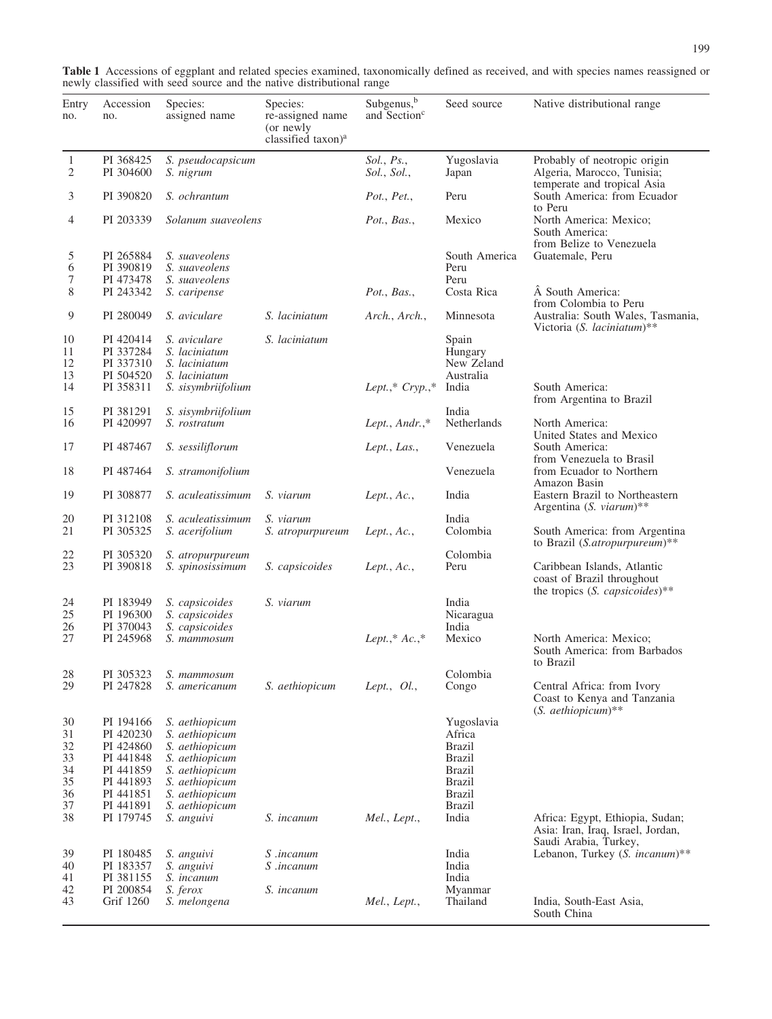| Table 1 Accessions of eggplant and related species examined, taxonomically defined as received, and with species names reassigned or |  |
|--------------------------------------------------------------------------------------------------------------------------------------|--|
| newly classified with seed source and the native distributional range                                                                |  |
|                                                                                                                                      |  |

| Entry<br>no.                                 | Accession<br>no.                                                                                     | Species:<br>assigned name                                                                                                                    | Species:<br>re-assigned name<br>(or newly<br>classified taxon) <sup>a</sup> | Subgenus, <sup>b</sup><br>and Section <sup>c</sup> | Seed source                                                                                                                | Native distributional range                                                                   |
|----------------------------------------------|------------------------------------------------------------------------------------------------------|----------------------------------------------------------------------------------------------------------------------------------------------|-----------------------------------------------------------------------------|----------------------------------------------------|----------------------------------------------------------------------------------------------------------------------------|-----------------------------------------------------------------------------------------------|
| $\mathbf{1}$<br>2                            | PI 368425<br>PI 304600                                                                               | S. pseudocapsicum<br>S. nigrum                                                                                                               |                                                                             | Sol., Ps.,<br>Sol., Sol.,                          | Yugoslavia<br>Japan                                                                                                        | Probably of neotropic origin<br>Algeria, Marocco, Tunisia;                                    |
| 3                                            | PI 390820                                                                                            | S. ochrantum                                                                                                                                 |                                                                             | Pot., Pet.,                                        | Peru                                                                                                                       | temperate and tropical Asia<br>South America: from Ecuador<br>to Peru                         |
| 4                                            | PI 203339                                                                                            | Solanum suaveolens                                                                                                                           |                                                                             | Pot., Bas.,                                        | Mexico                                                                                                                     | North America: Mexico;<br>South America:<br>from Belize to Venezuela                          |
| 5<br>6<br>7                                  | PI 265884<br>PI 390819<br>PI 473478                                                                  | S. suaveolens<br>S. suaveolens<br>S. suaveolens                                                                                              |                                                                             |                                                    | South America<br>Peru<br>Peru                                                                                              | Guatemale, Peru                                                                               |
| 8                                            | PI 243342                                                                                            | S. caripense                                                                                                                                 |                                                                             | Pot., Bas.,                                        | Costa Rica                                                                                                                 | A South America:<br>from Colombia to Peru                                                     |
| 9                                            | PI 280049                                                                                            | S. aviculare                                                                                                                                 | S. laciniatum                                                               | Arch., Arch.,                                      | Minnesota                                                                                                                  | Australia: South Wales, Tasmania,<br>Victoria (S. laciniatum)**                               |
| 10<br>11<br>12<br>13                         | PI 420414<br>PI 337284<br>PI 337310<br>PI 504520                                                     | S. aviculare<br>S. laciniatum<br>S. laciniatum<br>S. laciniatum                                                                              | S. laciniatum                                                               |                                                    | Spain<br>Hungary<br>New Zeland<br>Australia                                                                                | South America:                                                                                |
| 14<br>15                                     | PI 358311<br>PI 381291                                                                               | S. sisymbriifolium<br>S. sisymbriifolium                                                                                                     |                                                                             | Lept.,* Cryp.,*                                    | India<br>India                                                                                                             | from Argentina to Brazil                                                                      |
| 16                                           | PI 420997                                                                                            | S. rostratum                                                                                                                                 |                                                                             | Lept., Andr.,*                                     | Netherlands                                                                                                                | North America:<br>United States and Mexico                                                    |
| 17                                           | PI 487467                                                                                            | S. sessiliflorum                                                                                                                             |                                                                             | Lept., Las.,                                       | Venezuela                                                                                                                  | South America:<br>from Venezuela to Brasil                                                    |
| 18                                           | PI 487464                                                                                            | S. stramonifolium                                                                                                                            |                                                                             |                                                    | Venezuela                                                                                                                  | from Ecuador to Northern<br>Amazon Basin                                                      |
| 19                                           | PI 308877                                                                                            | S. aculeatissimum                                                                                                                            | S. viarum                                                                   | Lept., $Ac.,$                                      | India                                                                                                                      | Eastern Brazil to Northeastern<br>Argentina (S. viarum)**                                     |
| 20<br>21                                     | PI 312108<br>PI 305325                                                                               | S. aculeatissimum<br>S. acerifolium                                                                                                          | S. viarum<br>S. atropurpureum                                               | Lept., $Ac.,$                                      | India<br>Colombia                                                                                                          | South America: from Argentina<br>to Brazil (S.atropurpureum)**                                |
| 22<br>23                                     | PI 305320<br>PI 390818                                                                               | S. atropurpureum<br>S. spinosissimum                                                                                                         | S. capsicoides                                                              | Lept., $Ac.,$                                      | Colombia<br>Peru                                                                                                           | Caribbean Islands, Atlantic<br>coast of Brazil throughout<br>the tropics (S. capsicoides)**   |
| 24<br>25<br>26                               | PI 183949<br>PI 196300<br>PI 370043                                                                  | S. capsicoides<br>S. capsicoides<br>S. capsicoides                                                                                           | S. viarum                                                                   |                                                    | India<br>Nicaragua<br>India                                                                                                |                                                                                               |
| 27                                           | PI 245968                                                                                            | S. mammosum                                                                                                                                  |                                                                             | Lept.,* $Ac.,^*$                                   | Mexico                                                                                                                     | North America: Mexico;<br>South America: from Barbados<br>to Brazil                           |
| $28\,$<br>29                                 | PI 305323<br>PI 247828                                                                               | S. mammosum<br>S. americanum                                                                                                                 | S. aethiopicum                                                              | Lept., $Ol.,$                                      | Colombia<br>Congo                                                                                                          | Central Africa: from Ivory<br>Coast to Kenya and Tanzania<br>$(S.~aethiopicum)$ **            |
| 30<br>31<br>32<br>33<br>34<br>35<br>36<br>37 | PI 194166<br>PI 420230<br>PI 424860<br>PI 441848<br>PI 441859<br>PI 441893<br>PI 441851<br>PI 441891 | S. aethiopicum<br>S. aethiopicum<br>S. aethiopicum<br>S. aethiopicum<br>S. aethiopicum<br>S. aethiopicum<br>S. aethiopicum<br>S. aethiopicum |                                                                             |                                                    | Yugoslavia<br>Africa<br><b>Brazil</b><br><b>Brazil</b><br><b>Brazil</b><br><b>Brazil</b><br><b>Brazil</b><br><b>Brazil</b> |                                                                                               |
| 38                                           | PI 179745                                                                                            | S. anguivi                                                                                                                                   | S. <i>incanum</i>                                                           | Mel., Lept.,                                       | India                                                                                                                      | Africa: Egypt, Ethiopia, Sudan;<br>Asia: Iran, Iraq, Israel, Jordan,<br>Saudi Arabia, Turkey, |
| 39<br>40<br>41                               | PI 180485<br>PI 183357<br>PI 381155                                                                  | S. anguivi<br>S. anguivi<br>S. incanum                                                                                                       | S .incanum<br>S .incanum                                                    |                                                    | India<br>India<br>India                                                                                                    | Lebanon, Turkey (S. incanum)**                                                                |
| 42<br>43                                     | PI 200854<br>Grif 1260                                                                               | S. ferox<br>S. melongena                                                                                                                     | S. <i>incanum</i>                                                           | Mel., Lept.,                                       | Myanmar<br>Thailand                                                                                                        | India, South-East Asia,<br>South China                                                        |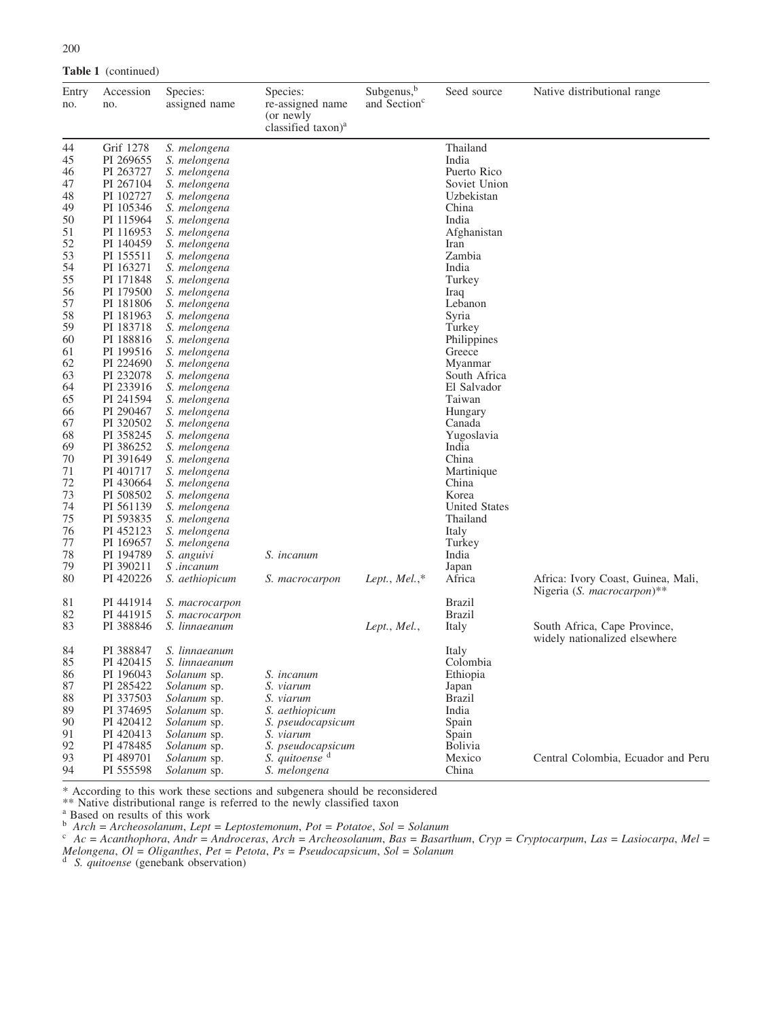| 200   |                            |               |           |
|-------|----------------------------|---------------|-----------|
|       | <b>Table 1</b> (continued) |               |           |
| Entry | Accession                  | Species:      | Species:  |
| no.   | no.                        | assigned name | re-assign |

| no. | no.       | assigned name      | re-assigned name<br>(or newly<br>classified taxon) <sup>a</sup> | and Section <sup>c</sup> |                      |                                                               |
|-----|-----------|--------------------|-----------------------------------------------------------------|--------------------------|----------------------|---------------------------------------------------------------|
| 44  | Grif 1278 | S. melongena       |                                                                 |                          | Thailand             |                                                               |
| 45  | PI 269655 | S. melongena       |                                                                 |                          | India                |                                                               |
| 46  | PI 263727 | S. melongena       |                                                                 |                          | Puerto Rico          |                                                               |
| 47  | PI 267104 | S. melongena       |                                                                 |                          | Soviet Union         |                                                               |
| 48  | PI 102727 | S. melongena       |                                                                 |                          | Uzbekistan           |                                                               |
| 49  | PI 105346 | S. melongena       |                                                                 |                          | China                |                                                               |
| 50  | PI 115964 | S. melongena       |                                                                 |                          | India                |                                                               |
| 51  | PI 116953 | S. melongena       |                                                                 |                          | Afghanistan          |                                                               |
| 52  | PI 140459 | S. melongena       |                                                                 |                          | Iran                 |                                                               |
| 53  | PI 155511 | S. melongena       |                                                                 |                          | Zambia               |                                                               |
| 54  | PI 163271 | S. melongena       |                                                                 |                          | India                |                                                               |
| 55  | PI 171848 | S. melongena       |                                                                 |                          | Turkey               |                                                               |
| 56  | PI 179500 | S. melongena       |                                                                 |                          | Iraq                 |                                                               |
| 57  | PI 181806 | S. melongena       |                                                                 |                          | Lebanon              |                                                               |
| 58  | PI 181963 | S. melongena       |                                                                 |                          | Syria                |                                                               |
| 59  | PI 183718 | S. melongena       |                                                                 |                          | Turkey               |                                                               |
| 60  | PI 188816 | S. melongena       |                                                                 |                          | Philippines          |                                                               |
| 61  | PI 199516 | S. melongena       |                                                                 |                          | Greece               |                                                               |
| 62  | PI 224690 | S. melongena       |                                                                 |                          | Myanmar              |                                                               |
| 63  | PI 232078 |                    |                                                                 |                          | South Africa         |                                                               |
|     |           | S. melongena       |                                                                 |                          |                      |                                                               |
| 64  | PI 233916 | S. melongena       |                                                                 |                          | El Salvador          |                                                               |
| 65  | PI 241594 | S. melongena       |                                                                 |                          | Taiwan               |                                                               |
| 66  | PI 290467 | S. melongena       |                                                                 |                          | Hungary              |                                                               |
| 67  | PI 320502 | S. melongena       |                                                                 |                          | Canada               |                                                               |
| 68  | PI 358245 | S. melongena       |                                                                 |                          | Yugoslavia           |                                                               |
| 69  | PI 386252 | S. melongena       |                                                                 |                          | India                |                                                               |
| 70  | PI 391649 | S. melongena       |                                                                 |                          | China                |                                                               |
| 71  | PI 401717 | S. melongena       |                                                                 |                          | Martinique           |                                                               |
| 72  | PI 430664 | S. melongena       |                                                                 |                          | China                |                                                               |
| 73  | PI 508502 | S. melongena       |                                                                 |                          | Korea                |                                                               |
| 74  | PI 561139 | S. melongena       |                                                                 |                          | <b>United States</b> |                                                               |
| 75  | PI 593835 | S. melongena       |                                                                 |                          | Thailand             |                                                               |
| 76  | PI 452123 | S. melongena       |                                                                 |                          | Italy                |                                                               |
| 77  | PI 169657 | S. melongena       |                                                                 |                          | Turkey               |                                                               |
| 78  | PI 194789 | S. anguivi         | S. incanum                                                      |                          | India                |                                                               |
| 79  | PI 390211 | <i>S</i> .incanum  |                                                                 |                          | Japan                |                                                               |
| 80  | PI 420226 | S. aethiopicum     | S. macrocarpon                                                  | Lept., Mel., $*$         | Africa               | Africa: Ivory Coast, Guinea, Mali,                            |
|     |           |                    |                                                                 |                          |                      | Nigeria (S. macrocarpon)**                                    |
| 81  | PI 441914 | S. macrocarpon     |                                                                 |                          | <b>Brazil</b>        |                                                               |
| 82  | PI 441915 | S. macrocarpon     |                                                                 |                          | <b>Brazil</b>        |                                                               |
| 83  | PI 388846 | S. linnaeanum      |                                                                 | Lept., Mel.,             | Italy                | South Africa, Cape Province,<br>widely nationalized elsewhere |
| 84  | PI 388847 | S. linnaeanum      |                                                                 |                          | Italy                |                                                               |
| 85  | PI 420415 | S. linnaeanum      |                                                                 |                          | Colombia             |                                                               |
| 86  | PI 196043 | Solanum sp.        | S. incanum                                                      |                          | Ethiopia             |                                                               |
| 87  | PI 285422 | Solanum sp.        | S. viarum                                                       |                          | Japan                |                                                               |
| 88  | PI 337503 | Solanum sp.        | S. viarum                                                       |                          | <b>Brazil</b>        |                                                               |
| 89  | PI 374695 | <i>Solanum</i> sp. | S. aethiopicum                                                  |                          | India                |                                                               |
| 90  | PI 420412 | Solanum sp.        | S. pseudocapsicum                                               |                          | Spain                |                                                               |
| 91  | PI 420413 | Solanum sp.        | S. viarum                                                       |                          | Spain                |                                                               |
| 92  | PI 478485 | <i>Solanum</i> sp. | S. pseudocapsicum                                               |                          | <b>Bolivia</b>       |                                                               |
| 93  | PI 489701 | Solanum sp.        | S. quitoense d                                                  |                          | Mexico               | Central Colombia, Ecuador and Peru                            |
| 94  | PI 555598 |                    | S. melongena                                                    |                          | China                |                                                               |
|     |           | Solanum sp.        |                                                                 |                          |                      |                                                               |

Subgenus,<sup>b</sup>

Seed source Native distributional range

\* According to this work these sections and subgenera should be reconsidered

\*\* Native distributional range is referred to the newly classified taxon

<sup>a</sup> Based on results of this work<br>  $\alpha^*$  Arch = Archeosolanum, Lept = Leptostemonum, Pot = Potatoe, Sol = Solanum<br>  $\alpha^*$  Archeosolanum, Ros = Basart

 $\delta$  Arch = Archeosolanum, Lept = Leptostemonum, Pot = Potatoe, Sol = Solanum<br>c Ac = Acanthophora, Andr = Androceras, Arch = Archeosolanum, Bas = Basarthum, Cryp = Cryptocarpum, Las = Lasiocarpa, Mel =

Melongena,  $Ol = Oliganthes$ ,  $Pet = Petota$ ,  $Ps = Pseudocapsicum$ ,  $Sol = Solanum$ <sup>d</sup> S. quitoense (genebank observation)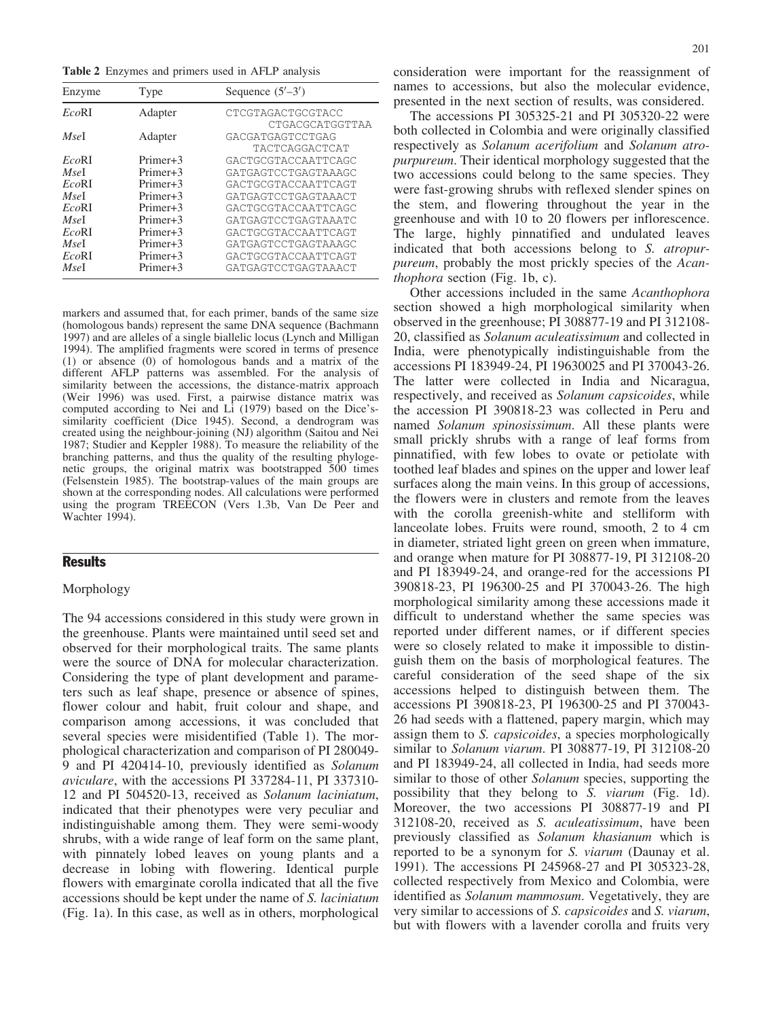Table 2 Enzymes and primers used in AFLP analysis

| Enzyme | Type                 | Sequence $(5'-3')$  |
|--------|----------------------|---------------------|
| EcoRI  | Adapter              | CTCGTAGACTGCGTACC   |
|        |                      | CTGACGCATGGTTAA     |
| MseI   | Adapter              | GACGATGAGTCCTGAG    |
|        |                      | TACTCAGGACTCAT      |
| EcoRI  | Primary <sub>1</sub> | GACTGCGTACCAATTCAGC |
| MseI   | $Primaryer+3$        | GATGAGTCCTGAGTAAAGC |
| EcoRI  | $Primaryer+3$        | GACTGCGTACCAATTCAGT |
| MseI   | Primary <sub>1</sub> | GATGAGTCCTGAGTAAACT |
| EcoRI  | Primary <sub>1</sub> | GACTGCGTACCAATTCAGC |
| MseI   | Primary <sub>1</sub> | GATGAGTCCTGAGTAAATC |
| EcoRI  | $Primaryer+3$        | GACTGCGTACCAATTCAGT |
| MseI   | $Primaryer+3$        | GATGAGTCCTGAGTAAAGC |
| EcoRI  | Primary <sub>1</sub> | GACTGCGTACCAATTCAGT |
| MseI   | Primer+3             | GATGAGTCCTGAGTAAACT |

markers and assumed that, for each primer, bands of the same size (homologous bands) represent the same DNA sequence (Bachmann 1997) and are alleles of a single biallelic locus (Lynch and Milligan 1994). The amplified fragments were scored in terms of presence (1) or absence (0) of homologous bands and a matrix of the different AFLP patterns was assembled. For the analysis of similarity between the accessions, the distance-matrix approach (Weir 1996) was used. First, a pairwise distance matrix was computed according to Nei and Li (1979) based on the Dice'ssimilarity coefficient (Dice 1945). Second, a dendrogram was created using the neighbour-joining (NJ) algorithm (Saitou and Nei 1987; Studier and Keppler 1988). To measure the reliability of the branching patterns, and thus the quality of the resulting phylogenetic groups, the original matrix was bootstrapped 500 times (Felsenstein 1985). The bootstrap-values of the main groups are shown at the corresponding nodes. All calculations were performed using the program TREECON (Vers 1.3b, Van De Peer and Wachter 1994).

# **Results**

### Morphology

The 94 accessions considered in this study were grown in the greenhouse. Plants were maintained until seed set and observed for their morphological traits. The same plants were the source of DNA for molecular characterization. Considering the type of plant development and parameters such as leaf shape, presence or absence of spines, flower colour and habit, fruit colour and shape, and comparison among accessions, it was concluded that several species were misidentified (Table 1). The morphological characterization and comparison of PI 280049- 9 and PI 420414-10, previously identified as Solanum aviculare, with the accessions PI 337284-11, PI 337310- 12 and PI 504520-13, received as Solanum laciniatum, indicated that their phenotypes were very peculiar and indistinguishable among them. They were semi-woody shrubs, with a wide range of leaf form on the same plant, with pinnately lobed leaves on young plants and a decrease in lobing with flowering. Identical purple flowers with emarginate corolla indicated that all the five accessions should be kept under the name of S. laciniatum (Fig. 1a). In this case, as well as in others, morphological

consideration were important for the reassignment of names to accessions, but also the molecular evidence, presented in the next section of results, was considered.

The accessions PI 305325-21 and PI 305320-22 were both collected in Colombia and were originally classified respectively as Solanum acerifolium and Solanum atropurpureum. Their identical morphology suggested that the two accessions could belong to the same species. They were fast-growing shrubs with reflexed slender spines on the stem, and flowering throughout the year in the greenhouse and with 10 to 20 flowers per inflorescence. The large, highly pinnatified and undulated leaves indicated that both accessions belong to S. atropurpureum, probably the most prickly species of the Acanthophora section (Fig. 1b, c).

Other accessions included in the same Acanthophora section showed a high morphological similarity when observed in the greenhouse; PI 308877-19 and PI 312108- 20, classified as Solanum aculeatissimum and collected in India, were phenotypically indistinguishable from the accessions PI 183949-24, PI 19630025 and PI 370043-26. The latter were collected in India and Nicaragua, respectively, and received as Solanum capsicoides, while the accession PI 390818-23 was collected in Peru and named Solanum spinosissimum. All these plants were small prickly shrubs with a range of leaf forms from pinnatified, with few lobes to ovate or petiolate with toothed leaf blades and spines on the upper and lower leaf surfaces along the main veins. In this group of accessions, the flowers were in clusters and remote from the leaves with the corolla greenish-white and stelliform with lanceolate lobes. Fruits were round, smooth, 2 to 4 cm in diameter, striated light green on green when immature, and orange when mature for PI 308877-19, PI 312108-20 and PI 183949-24, and orange-red for the accessions PI 390818-23, PI 196300-25 and PI 370043-26. The high morphological similarity among these accessions made it difficult to understand whether the same species was reported under different names, or if different species were so closely related to make it impossible to distinguish them on the basis of morphological features. The careful consideration of the seed shape of the six accessions helped to distinguish between them. The accessions PI 390818-23, PI 196300-25 and PI 370043- 26 had seeds with a flattened, papery margin, which may assign them to *S. capsicoides*, a species morphologically similar to Solanum viarum. PI 308877-19, PI 312108-20 and PI 183949-24, all collected in India, had seeds more similar to those of other Solanum species, supporting the possibility that they belong to S. viarum (Fig. 1d). Moreover, the two accessions PI 308877-19 and PI 312108-20, received as S. aculeatissimum, have been previously classified as Solanum khasianum which is reported to be a synonym for S. viarum (Daunay et al. 1991). The accessions PI 245968-27 and PI 305323-28, collected respectively from Mexico and Colombia, were identified as *Solanum mammosum*. Vegetatively, they are very similar to accessions of S. capsicoides and S. viarum, but with flowers with a lavender corolla and fruits very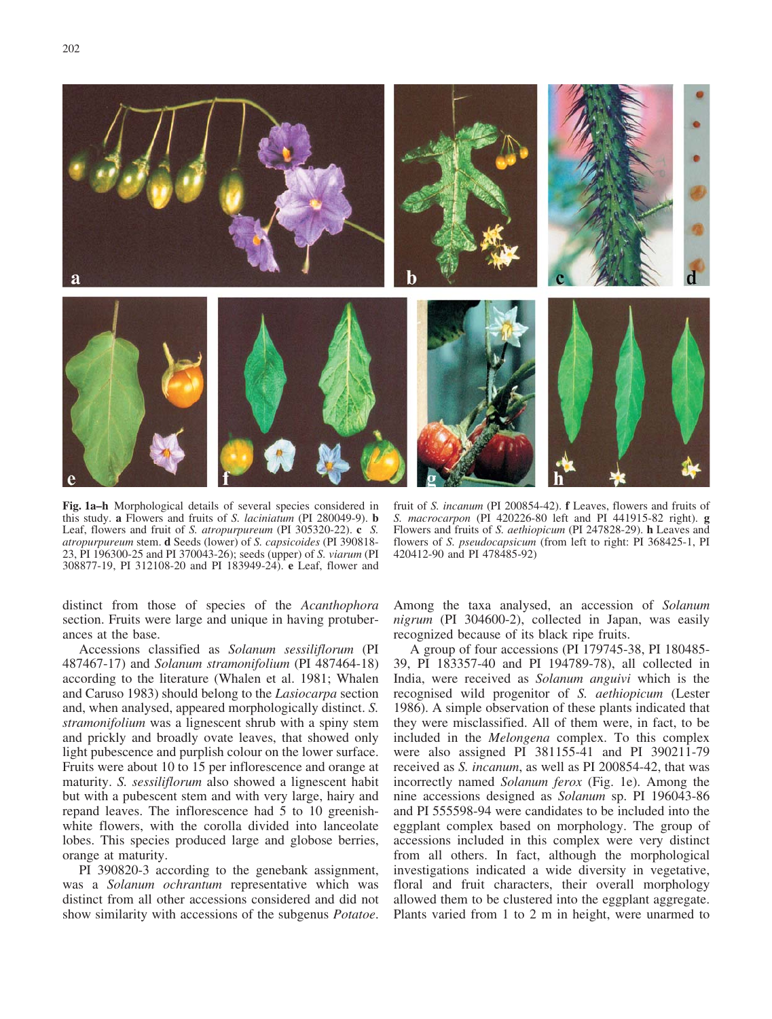

Fig. 1a–h Morphological details of several species considered in this study. a Flowers and fruits of S. laciniatum (PI 280049-9). b Leaf, flowers and fruit of S. atropurpureum (PI 305320-22). c S. atropurpureum stem. d Seeds (lower) of S. capsicoides (PI 390818- 23, PI 196300-25 and PI 370043-26); seeds (upper) of S. viarum (PI 308877-19, PI 312108-20 and PI 183949-24). e Leaf, flower and

fruit of S. incanum (PI 200854-42). **f** Leaves, flowers and fruits of S. macrocarpon (PI 420226-80 left and PI 441915-82 right). g Flowers and fruits of S. aethiopicum (PI 247828-29). h Leaves and flowers of *S. pseudocapsicum* (from left to right: PI 368425-1, PI 420412-90 and PI 478485-92)

distinct from those of species of the Acanthophora section. Fruits were large and unique in having protuberances at the base.

Accessions classified as Solanum sessiliflorum (PI 487467-17) and Solanum stramonifolium (PI 487464-18) according to the literature (Whalen et al. 1981; Whalen and Caruso 1983) should belong to the Lasiocarpa section and, when analysed, appeared morphologically distinct. S. stramonifolium was a lignescent shrub with a spiny stem and prickly and broadly ovate leaves, that showed only light pubescence and purplish colour on the lower surface. Fruits were about 10 to 15 per inflorescence and orange at maturity. S. sessiliflorum also showed a lignescent habit but with a pubescent stem and with very large, hairy and repand leaves. The inflorescence had 5 to 10 greenishwhite flowers, with the corolla divided into lanceolate lobes. This species produced large and globose berries, orange at maturity.

PI 390820-3 according to the genebank assignment, was a Solanum ochrantum representative which was distinct from all other accessions considered and did not show similarity with accessions of the subgenus Potatoe.

Among the taxa analysed, an accession of Solanum nigrum (PI 304600-2), collected in Japan, was easily recognized because of its black ripe fruits.

A group of four accessions (PI 179745-38, PI 180485- 39, PI 183357-40 and PI 194789-78), all collected in India, were received as Solanum anguivi which is the recognised wild progenitor of S. aethiopicum (Lester 1986). A simple observation of these plants indicated that they were misclassified. All of them were, in fact, to be included in the Melongena complex. To this complex were also assigned PI 381155-41 and PI 390211-79 received as S. incanum, as well as PI 200854-42, that was incorrectly named Solanum ferox (Fig. 1e). Among the nine accessions designed as Solanum sp. PI 196043-86 and PI 555598-94 were candidates to be included into the eggplant complex based on morphology. The group of accessions included in this complex were very distinct from all others. In fact, although the morphological investigations indicated a wide diversity in vegetative, floral and fruit characters, their overall morphology allowed them to be clustered into the eggplant aggregate. Plants varied from 1 to 2 m in height, were unarmed to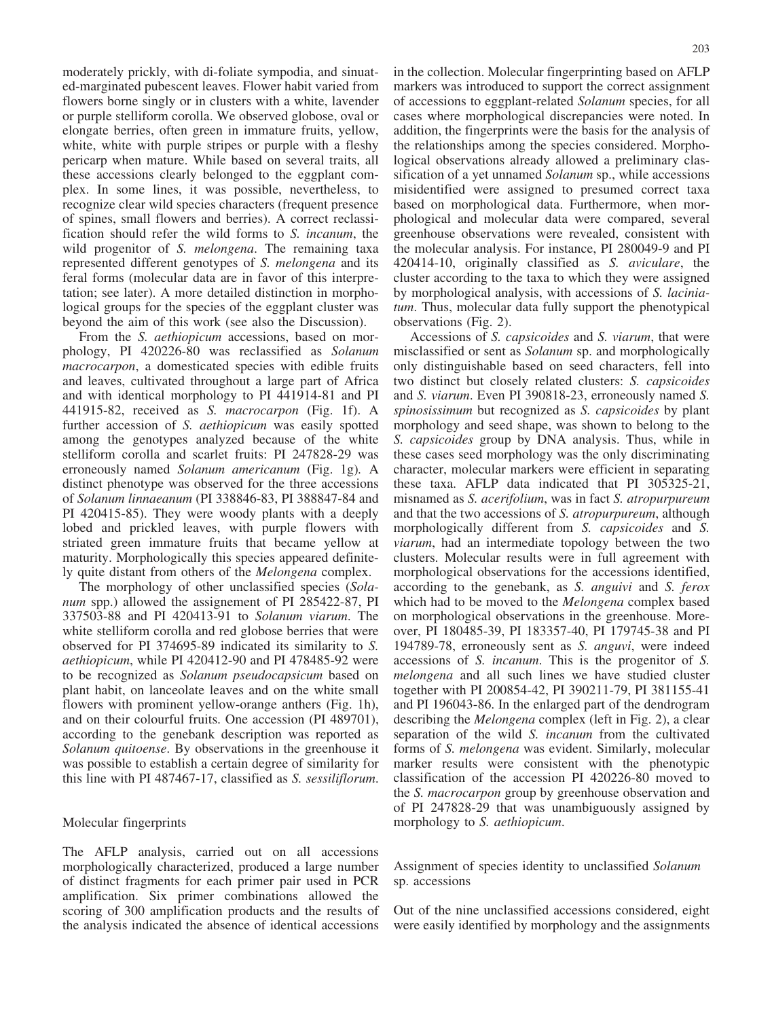moderately prickly, with di-foliate sympodia, and sinuated-marginated pubescent leaves. Flower habit varied from flowers borne singly or in clusters with a white, lavender or purple stelliform corolla. We observed globose, oval or elongate berries, often green in immature fruits, yellow, white, white with purple stripes or purple with a fleshy pericarp when mature. While based on several traits, all these accessions clearly belonged to the eggplant complex. In some lines, it was possible, nevertheless, to recognize clear wild species characters (frequent presence of spines, small flowers and berries). A correct reclassification should refer the wild forms to S. incanum, the wild progenitor of S. melongena. The remaining taxa represented different genotypes of S. melongena and its feral forms (molecular data are in favor of this interpretation; see later). A more detailed distinction in morphological groups for the species of the eggplant cluster was beyond the aim of this work (see also the Discussion).

From the *S. aethiopicum* accessions, based on morphology, PI 420226-80 was reclassified as Solanum macrocarpon, a domesticated species with edible fruits and leaves, cultivated throughout a large part of Africa and with identical morphology to PI 441914-81 and PI 441915-82, received as S. macrocarpon (Fig. 1f). A further accession of S. aethiopicum was easily spotted among the genotypes analyzed because of the white stelliform corolla and scarlet fruits: PI 247828-29 was erroneously named Solanum americanum (Fig. 1g). A distinct phenotype was observed for the three accessions of Solanum linnaeanum (PI 338846-83, PI 388847-84 and PI 420415-85). They were woody plants with a deeply lobed and prickled leaves, with purple flowers with striated green immature fruits that became yellow at maturity. Morphologically this species appeared definitely quite distant from others of the Melongena complex.

The morphology of other unclassified species (Solanum spp.) allowed the assignement of PI 285422-87, PI 337503-88 and PI 420413-91 to Solanum viarum. The white stelliform corolla and red globose berries that were observed for PI 374695-89 indicated its similarity to S. aethiopicum, while PI 420412-90 and PI 478485-92 were to be recognized as Solanum pseudocapsicum based on plant habit, on lanceolate leaves and on the white small flowers with prominent yellow-orange anthers (Fig. 1h), and on their colourful fruits. One accession (PI 489701), according to the genebank description was reported as Solanum quitoense. By observations in the greenhouse it was possible to establish a certain degree of similarity for this line with PI 487467-17, classified as S. sessiliflorum.

# Molecular fingerprints

The AFLP analysis, carried out on all accessions morphologically characterized, produced a large number of distinct fragments for each primer pair used in PCR amplification. Six primer combinations allowed the scoring of 300 amplification products and the results of the analysis indicated the absence of identical accessions in the collection. Molecular fingerprinting based on AFLP markers was introduced to support the correct assignment of accessions to eggplant-related Solanum species, for all cases where morphological discrepancies were noted. In addition, the fingerprints were the basis for the analysis of the relationships among the species considered. Morphological observations already allowed a preliminary classification of a yet unnamed *Solanum* sp., while accessions misidentified were assigned to presumed correct taxa based on morphological data. Furthermore, when morphological and molecular data were compared, several greenhouse observations were revealed, consistent with the molecular analysis. For instance, PI 280049-9 and PI 420414-10, originally classified as S. aviculare, the cluster according to the taxa to which they were assigned by morphological analysis, with accessions of S. laciniatum. Thus, molecular data fully support the phenotypical observations (Fig. 2).

Accessions of S. capsicoides and S. viarum, that were misclassified or sent as Solanum sp. and morphologically only distinguishable based on seed characters, fell into two distinct but closely related clusters: S. capsicoides and S. viarum. Even PI 390818-23, erroneously named S. spinosissimum but recognized as S. capsicoides by plant morphology and seed shape, was shown to belong to the S. capsicoides group by DNA analysis. Thus, while in these cases seed morphology was the only discriminating character, molecular markers were efficient in separating these taxa. AFLP data indicated that PI 305325-21, misnamed as *S. acerifolium*, was in fact *S. atropurpureum* and that the two accessions of S. atropurpureum, although morphologically different from S. capsicoides and S. viarum, had an intermediate topology between the two clusters. Molecular results were in full agreement with morphological observations for the accessions identified, according to the genebank, as S. anguivi and S. ferox which had to be moved to the *Melongena* complex based on morphological observations in the greenhouse. Moreover, PI 180485-39, PI 183357-40, PI 179745-38 and PI 194789-78, erroneously sent as S. anguvi, were indeed accessions of S. incanum. This is the progenitor of S. melongena and all such lines we have studied cluster together with PI 200854-42, PI 390211-79, PI 381155-41 and PI 196043-86. In the enlarged part of the dendrogram describing the Melongena complex (left in Fig. 2), a clear separation of the wild S. *incanum* from the cultivated forms of S. melongena was evident. Similarly, molecular marker results were consistent with the phenotypic classification of the accession PI 420226-80 moved to the S. macrocarpon group by greenhouse observation and of PI 247828-29 that was unambiguously assigned by morphology to *S. aethiopicum*.

Assignment of species identity to unclassified Solanum sp. accessions

Out of the nine unclassified accessions considered, eight were easily identified by morphology and the assignments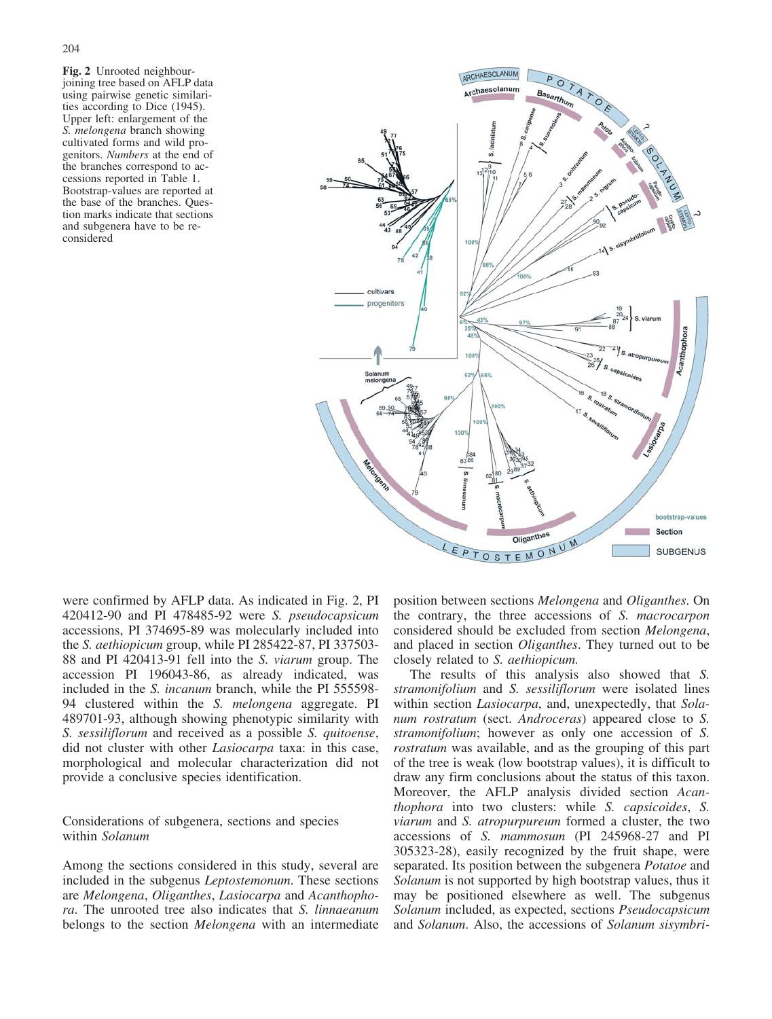Fig. 2 Unrooted neighbourjoining tree based on AFLP data using pairwise genetic similarities according to Dice (1945). Upper left: enlargement of the S. melongena branch showing cultivated forms and wild progenitors. Numbers at the end of the branches correspond to accessions reported in Table 1. Bootstrap-values are reported at the base of the branches. Question marks indicate that sections and subgenera have to be reconsidered



were confirmed by AFLP data. As indicated in Fig. 2, PI 420412-90 and PI 478485-92 were S. pseudocapsicum accessions, PI 374695-89 was molecularly included into the S. aethiopicum group, while PI 285422-87, PI 337503- 88 and PI 420413-91 fell into the S. viarum group. The accession PI 196043-86, as already indicated, was included in the S. incanum branch, while the PI 555598- 94 clustered within the S. melongena aggregate. PI 489701-93, although showing phenotypic similarity with S. sessiliflorum and received as a possible S. quitoense, did not cluster with other Lasiocarpa taxa: in this case, morphological and molecular characterization did not provide a conclusive species identification.

Considerations of subgenera, sections and species within Solanum

Among the sections considered in this study, several are included in the subgenus Leptostemonum. These sections are Melongena, Oliganthes, Lasiocarpa and Acanthophora. The unrooted tree also indicates that S. linnaeanum belongs to the section *Melongena* with an intermediate

position between sections Melongena and Oliganthes. On the contrary, the three accessions of S. macrocarpon considered should be excluded from section Melongena, and placed in section Oliganthes. They turned out to be closely related to S. aethiopicum.

The results of this analysis also showed that S. stramonifolium and S. sessiliflorum were isolated lines within section *Lasiocarpa*, and, unexpectedly, that *Sola*num rostratum (sect. Androceras) appeared close to S. stramonifolium; however as only one accession of S. rostratum was available, and as the grouping of this part of the tree is weak (low bootstrap values), it is difficult to draw any firm conclusions about the status of this taxon. Moreover, the AFLP analysis divided section Acanthophora into two clusters: while S. capsicoides, S. viarum and S. atropurpureum formed a cluster, the two accessions of S. mammosum (PI 245968-27 and PI 305323-28), easily recognized by the fruit shape, were separated. Its position between the subgenera Potatoe and Solanum is not supported by high bootstrap values, thus it may be positioned elsewhere as well. The subgenus Solanum included, as expected, sections Pseudocapsicum and Solanum. Also, the accessions of Solanum sisymbri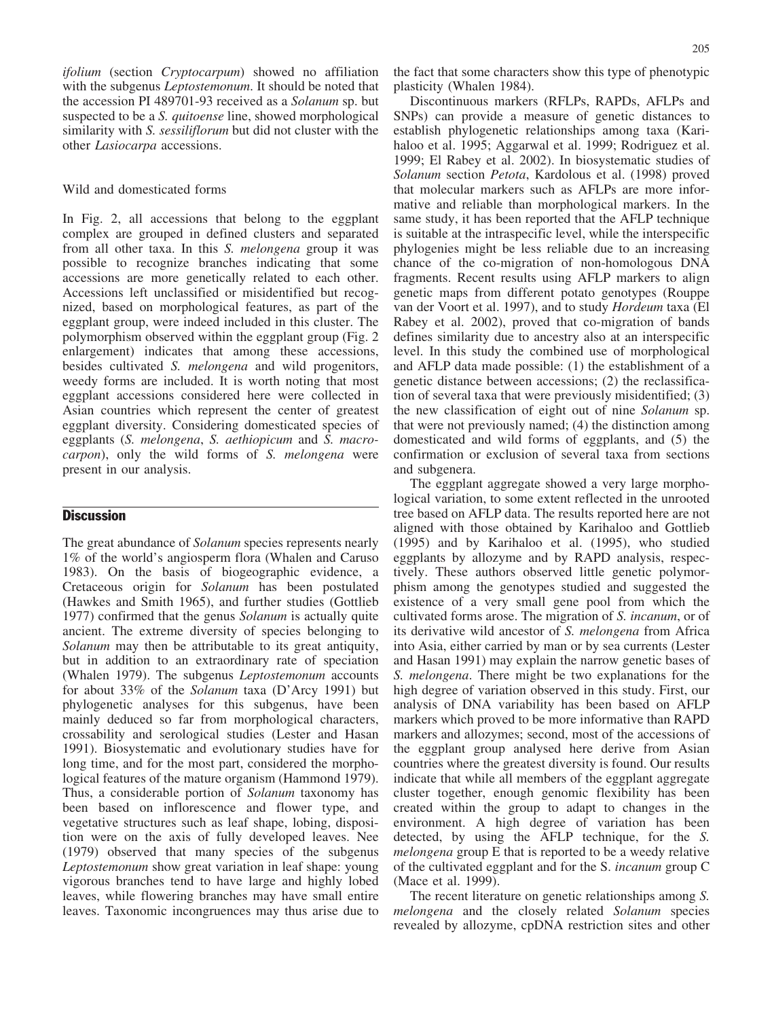ifolium (section Cryptocarpum) showed no affiliation with the subgenus Leptostemonum. It should be noted that the accession PI 489701-93 received as a Solanum sp. but suspected to be a *S. quitoense* line, showed morphological similarity with *S. sessiliflorum* but did not cluster with the other Lasiocarpa accessions.

## Wild and domesticated forms

In Fig. 2, all accessions that belong to the eggplant complex are grouped in defined clusters and separated from all other taxa. In this S. melongena group it was possible to recognize branches indicating that some accessions are more genetically related to each other. Accessions left unclassified or misidentified but recognized, based on morphological features, as part of the eggplant group, were indeed included in this cluster. The polymorphism observed within the eggplant group (Fig. 2 enlargement) indicates that among these accessions, besides cultivated S. melongena and wild progenitors, weedy forms are included. It is worth noting that most eggplant accessions considered here were collected in Asian countries which represent the center of greatest eggplant diversity. Considering domesticated species of eggplants (S. melongena, S. aethiopicum and S. macrocarpon), only the wild forms of S. melongena were present in our analysis.

# **Discussion**

The great abundance of *Solanum* species represents nearly 1% of the world's angiosperm flora (Whalen and Caruso 1983). On the basis of biogeographic evidence, a Cretaceous origin for Solanum has been postulated (Hawkes and Smith 1965), and further studies (Gottlieb 1977) confirmed that the genus Solanum is actually quite ancient. The extreme diversity of species belonging to Solanum may then be attributable to its great antiquity, but in addition to an extraordinary rate of speciation (Whalen 1979). The subgenus Leptostemonum accounts for about 33% of the Solanum taxa (D'Arcy 1991) but phylogenetic analyses for this subgenus, have been mainly deduced so far from morphological characters, crossability and serological studies (Lester and Hasan 1991). Biosystematic and evolutionary studies have for long time, and for the most part, considered the morphological features of the mature organism (Hammond 1979). Thus, a considerable portion of Solanum taxonomy has been based on inflorescence and flower type, and vegetative structures such as leaf shape, lobing, disposition were on the axis of fully developed leaves. Nee (1979) observed that many species of the subgenus Leptostemonum show great variation in leaf shape: young vigorous branches tend to have large and highly lobed leaves, while flowering branches may have small entire leaves. Taxonomic incongruences may thus arise due to the fact that some characters show this type of phenotypic plasticity (Whalen 1984).

Discontinuous markers (RFLPs, RAPDs, AFLPs and SNPs) can provide a measure of genetic distances to establish phylogenetic relationships among taxa (Karihaloo et al. 1995; Aggarwal et al. 1999; Rodriguez et al. 1999; El Rabey et al. 2002). In biosystematic studies of Solanum section Petota, Kardolous et al. (1998) proved that molecular markers such as AFLPs are more informative and reliable than morphological markers. In the same study, it has been reported that the AFLP technique is suitable at the intraspecific level, while the interspecific phylogenies might be less reliable due to an increasing chance of the co-migration of non-homologous DNA fragments. Recent results using AFLP markers to align genetic maps from different potato genotypes (Rouppe van der Voort et al. 1997), and to study Hordeum taxa (El Rabey et al. 2002), proved that co-migration of bands defines similarity due to ancestry also at an interspecific level. In this study the combined use of morphological and AFLP data made possible: (1) the establishment of a genetic distance between accessions; (2) the reclassification of several taxa that were previously misidentified; (3) the new classification of eight out of nine Solanum sp. that were not previously named; (4) the distinction among domesticated and wild forms of eggplants, and (5) the confirmation or exclusion of several taxa from sections and subgenera.

The eggplant aggregate showed a very large morphological variation, to some extent reflected in the unrooted tree based on AFLP data. The results reported here are not aligned with those obtained by Karihaloo and Gottlieb (1995) and by Karihaloo et al. (1995), who studied eggplants by allozyme and by RAPD analysis, respectively. These authors observed little genetic polymorphism among the genotypes studied and suggested the existence of a very small gene pool from which the cultivated forms arose. The migration of S. incanum, or of its derivative wild ancestor of S. melongena from Africa into Asia, either carried by man or by sea currents (Lester and Hasan 1991) may explain the narrow genetic bases of S. melongena. There might be two explanations for the high degree of variation observed in this study. First, our analysis of DNA variability has been based on AFLP markers which proved to be more informative than RAPD markers and allozymes; second, most of the accessions of the eggplant group analysed here derive from Asian countries where the greatest diversity is found. Our results indicate that while all members of the eggplant aggregate cluster together, enough genomic flexibility has been created within the group to adapt to changes in the environment. A high degree of variation has been detected, by using the AFLP technique, for the S. melongena group E that is reported to be a weedy relative of the cultivated eggplant and for the S. incanum group C (Mace et al. 1999).

The recent literature on genetic relationships among S. melongena and the closely related Solanum species revealed by allozyme, cpDNA restriction sites and other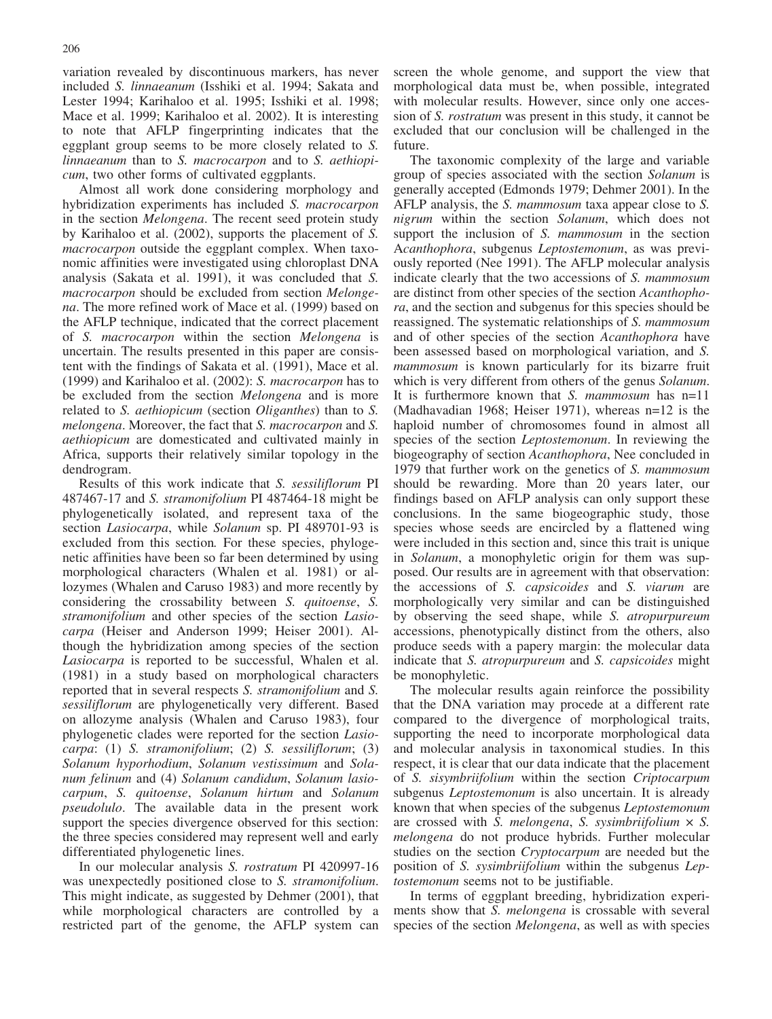variation revealed by discontinuous markers, has never included S. linnaeanum (Isshiki et al. 1994; Sakata and Lester 1994; Karihaloo et al. 1995; Isshiki et al. 1998; Mace et al. 1999; Karihaloo et al. 2002). It is interesting to note that AFLP fingerprinting indicates that the eggplant group seems to be more closely related to S. linnaeanum than to S. macrocarpon and to S. aethiopicum, two other forms of cultivated eggplants.

Almost all work done considering morphology and hybridization experiments has included S. macrocarpon in the section Melongena. The recent seed protein study by Karihaloo et al. (2002), supports the placement of S. macrocarpon outside the eggplant complex. When taxonomic affinities were investigated using chloroplast DNA analysis (Sakata et al. 1991), it was concluded that S. macrocarpon should be excluded from section Melongena. The more refined work of Mace et al. (1999) based on the AFLP technique, indicated that the correct placement of S. macrocarpon within the section Melongena is uncertain. The results presented in this paper are consistent with the findings of Sakata et al. (1991), Mace et al. (1999) and Karihaloo et al. (2002): S. macrocarpon has to be excluded from the section *Melongena* and is more related to S. *aethiopicum* (section *Oliganthes*) than to S. melongena. Moreover, the fact that S. macrocarpon and S. aethiopicum are domesticated and cultivated mainly in Africa, supports their relatively similar topology in the dendrogram.

Results of this work indicate that S. sessiliflorum PI 487467-17 and S. stramonifolium PI 487464-18 might be phylogenetically isolated, and represent taxa of the section Lasiocarpa, while Solanum sp. PI 489701-93 is excluded from this section. For these species, phylogenetic affinities have been so far been determined by using morphological characters (Whalen et al. 1981) or allozymes (Whalen and Caruso 1983) and more recently by considering the crossability between S. quitoense, S. stramonifolium and other species of the section *Lasio*carpa (Heiser and Anderson 1999; Heiser 2001). Although the hybridization among species of the section Lasiocarpa is reported to be successful, Whalen et al. (1981) in a study based on morphological characters reported that in several respects S. stramonifolium and S. sessiliflorum are phylogenetically very different. Based on allozyme analysis (Whalen and Caruso 1983), four phylogenetic clades were reported for the section Lasiocarpa: (1) S. stramonifolium; (2) S. sessiliflorum; (3) Solanum hyporhodium, Solanum vestissimum and Solanum felinum and (4) Solanum candidum, Solanum lasiocarpum, S. quitoense, Solanum hirtum and Solanum pseudolulo. The available data in the present work support the species divergence observed for this section: the three species considered may represent well and early differentiated phylogenetic lines.

In our molecular analysis S. rostratum PI 420997-16 was unexpectedly positioned close to S. *stramonifolium*. This might indicate, as suggested by Dehmer (2001), that while morphological characters are controlled by a restricted part of the genome, the AFLP system can screen the whole genome, and support the view that morphological data must be, when possible, integrated with molecular results. However, since only one accession of S. rostratum was present in this study, it cannot be excluded that our conclusion will be challenged in the future.

The taxonomic complexity of the large and variable group of species associated with the section Solanum is generally accepted (Edmonds 1979; Dehmer 2001). In the AFLP analysis, the *S. mammosum* taxa appear close to *S.* nigrum within the section Solanum, which does not support the inclusion of S. *mammosum* in the section Acanthophora, subgenus Leptostemonum, as was previously reported (Nee 1991). The AFLP molecular analysis indicate clearly that the two accessions of S. mammosum are distinct from other species of the section Acanthophora, and the section and subgenus for this species should be reassigned. The systematic relationships of S. mammosum and of other species of the section Acanthophora have been assessed based on morphological variation, and S. mammosum is known particularly for its bizarre fruit which is very different from others of the genus Solanum. It is furthermore known that S. *mammosum* has n=11 (Madhavadian 1968; Heiser 1971), whereas n=12 is the haploid number of chromosomes found in almost all species of the section *Leptostemonum*. In reviewing the biogeography of section Acanthophora, Nee concluded in 1979 that further work on the genetics of S. mammosum should be rewarding. More than 20 years later, our findings based on AFLP analysis can only support these conclusions. In the same biogeographic study, those species whose seeds are encircled by a flattened wing were included in this section and, since this trait is unique in Solanum, a monophyletic origin for them was supposed. Our results are in agreement with that observation: the accessions of S. capsicoides and S. viarum are morphologically very similar and can be distinguished by observing the seed shape, while S. atropurpureum accessions, phenotypically distinct from the others, also produce seeds with a papery margin: the molecular data indicate that *S. atropurpureum* and *S. capsicoides* might be monophyletic.

The molecular results again reinforce the possibility that the DNA variation may procede at a different rate compared to the divergence of morphological traits, supporting the need to incorporate morphological data and molecular analysis in taxonomical studies. In this respect, it is clear that our data indicate that the placement of S. sisymbriifolium within the section Criptocarpum subgenus *Leptostemonum* is also uncertain. It is already known that when species of the subgenus Leptostemonum are crossed with S. *melongena*, S. *sysimbriifolium*  $\times$  S. melongena do not produce hybrids. Further molecular studies on the section Cryptocarpum are needed but the position of S. sysimbriifolium within the subgenus Leptostemonum seems not to be justifiable.

In terms of eggplant breeding, hybridization experiments show that S. melongena is crossable with several species of the section *Melongena*, as well as with species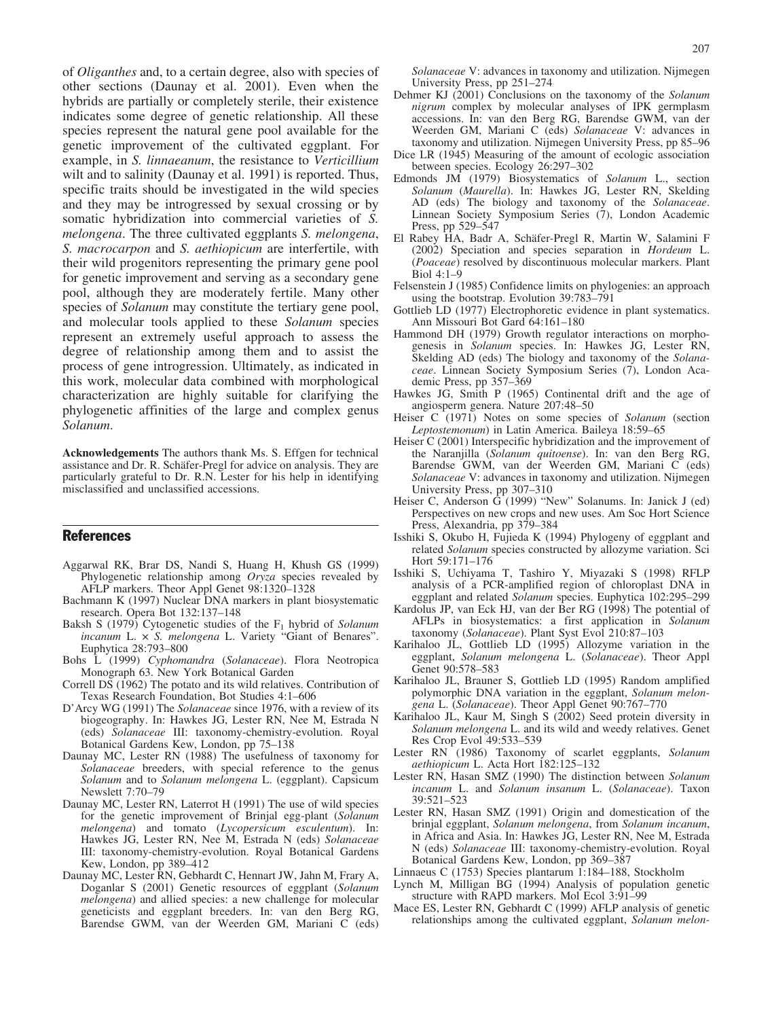of Oliganthes and, to a certain degree, also with species of other sections (Daunay et al. 2001). Even when the hybrids are partially or completely sterile, their existence indicates some degree of genetic relationship. All these species represent the natural gene pool available for the genetic improvement of the cultivated eggplant. For example, in S. linnaeanum, the resistance to Verticillium wilt and to salinity (Daunay et al. 1991) is reported. Thus, specific traits should be investigated in the wild species and they may be introgressed by sexual crossing or by somatic hybridization into commercial varieties of S. melongena. The three cultivated eggplants S. melongena, S. macrocarpon and S. aethiopicum are interfertile, with their wild progenitors representing the primary gene pool for genetic improvement and serving as a secondary gene pool, although they are moderately fertile. Many other species of *Solanum* may constitute the tertiary gene pool, and molecular tools applied to these Solanum species represent an extremely useful approach to assess the degree of relationship among them and to assist the process of gene introgression. Ultimately, as indicated in this work, molecular data combined with morphological characterization are highly suitable for clarifying the phylogenetic affinities of the large and complex genus Solanum.

Acknowledgements The authors thank Ms. S. Effgen for technical assistance and Dr. R. Schäfer-Pregl for advice on analysis. They are particularly grateful to Dr. R.N. Lester for his help in identifying misclassified and unclassified accessions.

# References

- Aggarwal RK, Brar DS, Nandi S, Huang H, Khush GS (1999) Phylogenetic relationship among Oryza species revealed by AFLP markers. Theor Appl Genet 98:1320–1328
- Bachmann K (1997) Nuclear DNA markers in plant biosystematic research. Opera Bot 132:137–148
- Baksh S (1979) Cytogenetic studies of the  $F_1$  hybrid of Solanum incanum L.  $\times$  S. melongena L. Variety "Giant of Benares". Euphytica 28:793–800
- Bohs L (1999) Cyphomandra (Solanaceae). Flora Neotropica Monograph 63. New York Botanical Garden
- Correll DS (1962) The potato and its wild relatives. Contribution of Texas Research Foundation, Bot Studies 4:1–606
- D'Arcy WG (1991) The *Solanaceae* since 1976, with a review of its biogeography. In: Hawkes JG, Lester RN, Nee M, Estrada N (eds) Solanaceae III: taxonomy-chemistry-evolution. Royal Botanical Gardens Kew, London, pp 75–138
- Daunay MC, Lester RN (1988) The usefulness of taxonomy for Solanaceae breeders, with special reference to the genus Solanum and to Solanum melongena L. (eggplant). Capsicum Newslett 7:70–79
- Daunay MC, Lester RN, Laterrot H (1991) The use of wild species for the genetic improvement of Brinjal egg-plant (Solanum melongena) and tomato (Lycopersicum esculentum). In: Hawkes JG, Lester RN, Nee M, Estrada N (eds) Solanaceae III: taxonomy-chemistry-evolution. Royal Botanical Gardens Kew, London, pp 389–412
- Daunay MC, Lester RN, Gebhardt C, Hennart JW, Jahn M, Frary A, Doganlar S (2001) Genetic resources of eggplant (Solanum melongena) and allied species: a new challenge for molecular geneticists and eggplant breeders. In: van den Berg RG, Barendse GWM, van der Weerden GM, Mariani C (eds)

Solanaceae V: advances in taxonomy and utilization. Nijmegen University Press, pp 251–274

- Dehmer KJ (2001) Conclusions on the taxonomy of the Solanum nigrum complex by molecular analyses of IPK germplasm accessions. In: van den Berg RG, Barendse GWM, van der Weerden GM, Mariani C (eds) Solanaceae V: advances in taxonomy and utilization. Nijmegen University Press, pp 85–96
- Dice LR (1945) Measuring of the amount of ecologic association between species. Ecology 26:297–302
- Edmonds JM (1979) Biosystematics of Solanum L., section Solanum (Maurella). In: Hawkes JG, Lester RN, Skelding AD (eds) The biology and taxonomy of the Solanaceae. Linnean Society Symposium Series (7), London Academic Press, pp 529–547
- El Rabey HA, Badr A, Schäfer-Pregl R, Martin W, Salamini F (2002) Speciation and species separation in Hordeum L. (Poaceae) resolved by discontinuous molecular markers. Plant Biol 4:1–9
- Felsenstein J (1985) Confidence limits on phylogenies: an approach using the bootstrap. Evolution 39:783–791
- Gottlieb LD (1977) Electrophoretic evidence in plant systematics. Ann Missouri Bot Gard 64:161–180
- Hammond DH (1979) Growth regulator interactions on morphogenesis in Solanum species. In: Hawkes JG, Lester RN, Skelding AD (eds) The biology and taxonomy of the Solanaceae. Linnean Society Symposium Series (7), London Academic Press, pp 357–369
- Hawkes JG, Smith P (1965) Continental drift and the age of angiosperm genera. Nature 207:48–50
- Heiser C (1971) Notes on some species of Solanum (section Leptostemonum) in Latin America. Baileya 18:59–65
- Heiser C (2001) Interspecific hybridization and the improvement of the Naranjilla (Solanum quitoense). In: van den Berg RG, Barendse GWM, van der Weerden GM, Mariani C (eds) Solanaceae V: advances in taxonomy and utilization. Nijmegen University Press, pp 307–310
- Heiser C, Anderson G (1999) "New" Solanums. In: Janick J (ed) Perspectives on new crops and new uses. Am Soc Hort Science Press, Alexandria, pp 379–384
- Isshiki S, Okubo H, Fujieda K (1994) Phylogeny of eggplant and related Solanum species constructed by allozyme variation. Sci Hort 59:171–176
- Isshiki S, Uchiyama T, Tashiro Y, Miyazaki S (1998) RFLP analysis of a PCR-amplified region of chloroplast DNA in eggplant and related Solanum species. Euphytica 102:295–299
- Kardolus JP, van Eck HJ, van der Ber RG (1998) The potential of AFLPs in biosystematics: a first application in Solanum taxonomy (Solanaceae). Plant Syst Evol 210:87–103
- Karihaloo JL, Gottlieb LD (1995) Allozyme variation in the eggplant, Solanum melongena L. (Solanaceae). Theor Appl Genet 90:578–583
- Karihaloo JL, Brauner S, Gottlieb LD (1995) Random amplified polymorphic DNA variation in the eggplant, Solanum melongena L. (Solanaceae). Theor Appl Genet 90:767-770
- Karihaloo JL, Kaur M, Singh S (2002) Seed protein diversity in Solanum melongena L. and its wild and weedy relatives. Genet Res Crop Evol 49:533–539
- Lester RN (1986) Taxonomy of scarlet eggplants, Solanum aethiopicum L. Acta Hort 182:125–132
- Lester RN, Hasan SMZ (1990) The distinction between Solanum incanum L. and Solanum insanum L. (Solanaceae). Taxon 39:521–523
- Lester RN, Hasan SMZ (1991) Origin and domestication of the brinjal eggplant, Solanum melongena, from Solanum incanum, in Africa and Asia. In: Hawkes JG, Lester RN, Nee M, Estrada N (eds) Solanaceae III: taxonomy-chemistry-evolution. Royal Botanical Gardens Kew, London, pp 369–387
- Linnaeus C (1753) Species plantarum 1:184–188, Stockholm
- Lynch M, Milligan BG (1994) Analysis of population genetic structure with RAPD markers. Mol Ecol 3:91–99
- Mace ES, Lester RN, Gebhardt C (1999) AFLP analysis of genetic relationships among the cultivated eggplant, Solanum melon-